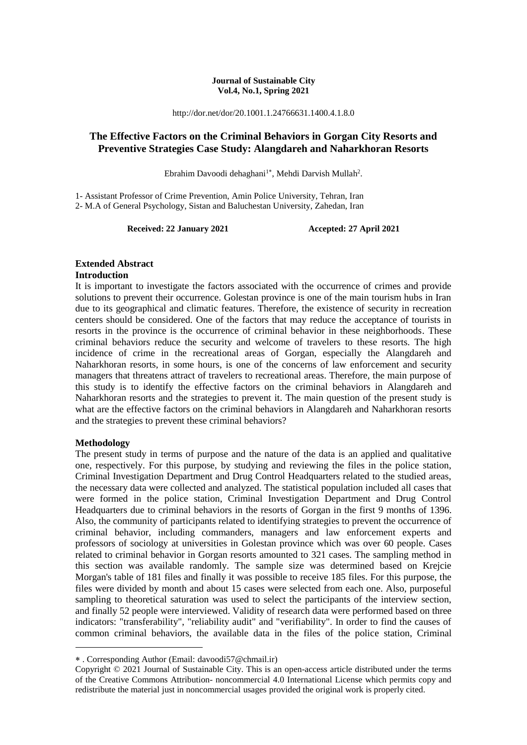#### **Journal of Sustainable City Vol.4, No.1, Spring 2021**

http://dor.net/dor/20.1001.1.24766631.1400.4.1.8.0

#### **The Effective Factors on the Criminal Behaviors in Gorgan City Resorts and Preventive Strategies Case Study: Alangdareh and Naharkhoran Resorts**

Ebrahim Davoodi dehaghani<sup>1\*</sup>, Mehdi Darvish Mullah<sup>2</sup>.

1- Assistant Professor of Crime Prevention, Amin Police University, Tehran, Iran 2- M.A of General Psychology, Sistan and Baluchestan University, Zahedan, Iran

**Received: 22 January 2021 Accepted: 27 April 2021**

# **Extended Abstract**

#### **Introduction**

It is important to investigate the factors associated with the occurrence of crimes and provide solutions to prevent their occurrence. Golestan province is one of the main tourism hubs in Iran due to its geographical and climatic features. Therefore, the existence of security in recreation centers should be considered. One of the factors that may reduce the acceptance of tourists in resorts in the province is the occurrence of criminal behavior in these neighborhoods. These criminal behaviors reduce the security and welcome of travelers to these resorts. The high incidence of crime in the recreational areas of Gorgan, especially the Alangdareh and Naharkhoran resorts, in some hours, is one of the concerns of law enforcement and security managers that threatens attract of travelers to recreational areas. Therefore, the main purpose of this study is to identify the effective factors on the criminal behaviors in Alangdareh and Naharkhoran resorts and the strategies to prevent it. The main question of the present study is what are the effective factors on the criminal behaviors in Alangdareh and Naharkhoran resorts and the strategies to prevent these criminal behaviors?

#### **Methodology**

1

The present study in terms of purpose and the nature of the data is an applied and qualitative one, respectively. For this purpose, by studying and reviewing the files in the police station, Criminal Investigation Department and Drug Control Headquarters related to the studied areas, the necessary data were collected and analyzed. The statistical population included all cases that were formed in the police station, Criminal Investigation Department and Drug Control Headquarters due to criminal behaviors in the resorts of Gorgan in the first 9 months of 1396. Also, the community of participants related to identifying strategies to prevent the occurrence of criminal behavior, including commanders, managers and law enforcement experts and professors of sociology at universities in Golestan province which was over 60 people. Cases related to criminal behavior in Gorgan resorts amounted to 321 cases. The sampling method in this section was available randomly. The sample size was determined based on Krejcie Morgan's table of 181 files and finally it was possible to receive 185 files. For this purpose, the files were divided by month and about 15 cases were selected from each one. Also, purposeful sampling to theoretical saturation was used to select the participants of the interview section, and finally 52 people were interviewed. Validity of research data were performed based on three indicators: "transferability", "reliability audit" and "verifiability". In order to find the causes of common criminal behaviors, the available data in the files of the police station, Criminal

. Corresponding Author (Email: davoodi57@chmail.ir)

Copyright © 2021 Journal of Sustainable City. This is an open-access article distributed under the terms of the Creative Commons Attribution- noncommercial 4.0 International License which permits copy and redistribute the material just in noncommercial usages provided the original work is properly cited.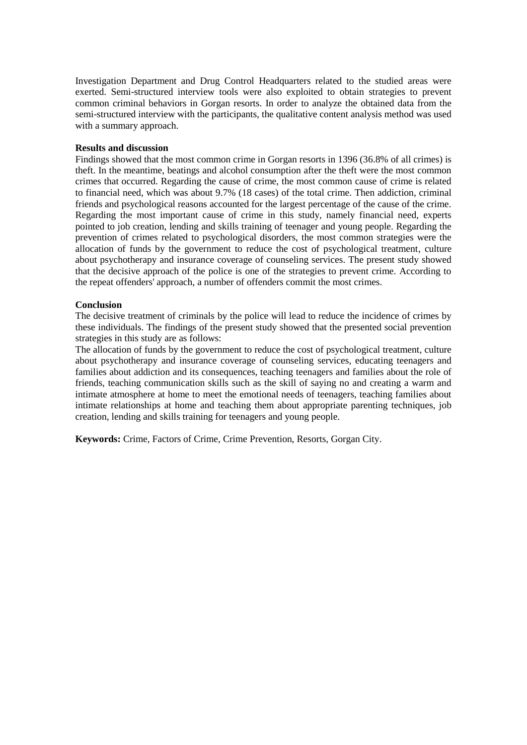Investigation Department and Drug Control Headquarters related to the studied areas were exerted. Semi-structured interview tools were also exploited to obtain strategies to prevent common criminal behaviors in Gorgan resorts. In order to analyze the obtained data from the semi-structured interview with the participants, the qualitative content analysis method was used with a summary approach.

#### **Results and discussion**

Findings showed that the most common crime in Gorgan resorts in 1396 (36.8% of all crimes) is theft. In the meantime, beatings and alcohol consumption after the theft were the most common crimes that occurred. Regarding the cause of crime, the most common cause of crime is related to financial need, which was about 9.7% (18 cases) of the total crime. Then addiction, criminal friends and psychological reasons accounted for the largest percentage of the cause of the crime. Regarding the most important cause of crime in this study, namely financial need, experts pointed to job creation, lending and skills training of teenager and young people. Regarding the prevention of crimes related to psychological disorders, the most common strategies were the allocation of funds by the government to reduce the cost of psychological treatment, culture about psychotherapy and insurance coverage of counseling services. The present study showed that the decisive approach of the police is one of the strategies to prevent crime. According to the repeat offenders' approach, a number of offenders commit the most crimes.

#### **Conclusion**

The decisive treatment of criminals by the police will lead to reduce the incidence of crimes by these individuals. The findings of the present study showed that the presented social prevention strategies in this study are as follows:

The allocation of funds by the government to reduce the cost of psychological treatment, culture about psychotherapy and insurance coverage of counseling services, educating teenagers and families about addiction and its consequences, teaching teenagers and families about the role of friends, teaching communication skills such as the skill of saying no and creating a warm and intimate atmosphere at home to meet the emotional needs of teenagers, teaching families about intimate relationships at home and teaching them about appropriate parenting techniques, job creation, lending and skills training for teenagers and young people.

**Keywords:** Crime, Factors of Crime, Crime Prevention, Resorts, Gorgan City.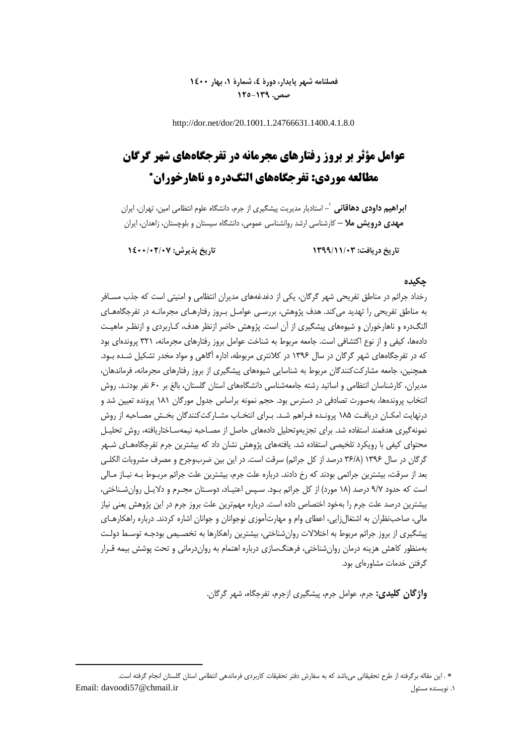### **فصلنامه شهر پایدار، دورۀ ،4 شمارۀ ،1 بهار 1400 صص. 125-139**

http://dor.net/dor/20.1001.1.24766631.1400.4.1.8.0

# **عوامل مؤثر بر بروز رفتارهای مجرمانه در تفرجگاههای شهر گرگان مطالعه موردی: تفرجگاههای النگدره و ناهارخوران**

**-** استادیار مدیریت پیشگیری از جرم، دانشگاه علوم انتظامی امین، تهران، ایران <sup>1</sup> **ابراهیم داودی دهاقانی مهدی درویش مال –** کارشناسی ارشد روانشناسی عمومی، دانشگاه سیستان و بلوچستان، زاهدان، ایران

**تاریخ دریافت: 1399/11/03 تاریخ پذیرش: 1400/02/07**

**.** 

#### **چکیده**

رخداد جرائم در مناطق تفریحی شهر گرگان، یکی از دغدغههای مدیران انتظامی و امنیتی است که جذب مسـافر به مناطق تفریحی را تهدید میکند. هدف پژوهش، بررسـی عوامـل بـروز رفتارهـای مجرمانـه در تفرجگاههـای النگدره و ناهارخوران و شیوههای پیشگیری از آن است. پژوهش حاضر ازنظر هدف، کـاربردی و ازنظـر ماهیـت دادهها، کیفی و از نوع اکتشافی است. جامعه مربوط به شناخت عوامل بروز رفتارهای مجرمانه، ۳۲۱ پروندهای بود که در تفرجگاههای شهر گرگان در سال 1396 در کالنتری مربوطه، اداره آگاهی و مواد مخدر تشکیل شـده بـود. همچنین، جامعه مشارکتکنندگان مربوط به شناسایی شیوههای پیشگیری از بروز رفتارهای مجرمانه، فرماندهان، مدیران، کارشناسان انتظامی و اساتید رشته جامعهشناسی دانشگاههای استان گلستان، بالغ بر 60 نفر بودنـد. روش انتخاب پروندهها، بهصورت تصادفی در دسترس بود. حجم نمونه براساس جدول مورگان 181 پرونده تعیین شد و درنهایت امکـان دریافـت 185 پرونـده فـراهم شـد. بـرای انتخـاب مشـارکتکنندگان بخـش مصـاحبه از روش نمونهگیری هدفمند استفاده شد. برای تجزیهوتحلیل دادههای حاصل از مصـاحبه نیمهسـاختاریافته، روش تحلیـل محتوای کیفی با رویکرد تلخیصی استفاده شد. یافتههای پژوهش نشان داد که بیشترین جرم تفرجگاههـای شـهر گرگان در سال ۱۳۹۶ (۳۶/۸ درصد از کل جرائم) سرقت است. در این بین ضربوجرح و مصرف مشروبات الکلـی بعد از سرقت، بیشترین جرائمی بودند که رخ دادند. درباره علت جرم، بیشترین علت جرائم مربـوط بـه نیـاز مـالی است که حدود ۹/۷ درصد (۱۸ مورد) از کل جرائم بـود. سـپس اعتیـاد، دوسـتان مجـرم و دلایـل روان،شـناختی، بیشترین درصد علت جرم را بهخود اختصاص داده است. درباره مهمترین علت بروز جرم در این پژوهش یعنی نیاز مالی، صاحبنظران به اشتغالزایی، اعطای وام و مهارتآموزی نوجوانان و جوانان اشاره کردند. درباره راهکارهـای پیشگیری از بروز جرائم مربوط به اختلالات روان شناختی، بیشترین راهکارها به تخصـیص بودجـه توسـط دولـت بهمنظور کاهش هزینه درمان روانشناختی، فرهنگسازی درباره اهتمام به رواندرمانی و تحت پوشش بیمه قـرار گرفتن خدمات مشاورهای بود.

**واژگان کلیدی:** جرم، عوامل جرم، پیشگیری ازجرم، تفرجگاه، شهر گرگان.

. این مقاله برگرفته از طرح تحقیقاتی میباشد که به سفارش دفتر تحقیقات کاربردی فرماندهی انتظامی استان گلستان انجام گرفته است. Email: davoodi57@chmail.ir مسئول نویسنده .1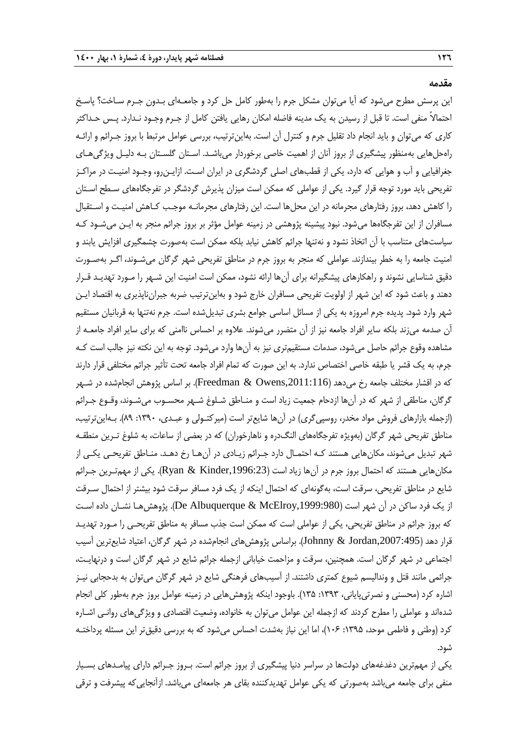**مقدمه**

این پرسش مطرح میشود که آیا میتوان مشکل جرم را بهطور کامل حل کرد و جامعـهای بـدون جـرم سـاخت؟ پاسـخ احتماالً منفی است. تا قبل از رسیدن به یک مدینه فاضله امکان رهایی یافتن کامل از جـرم وجـود نـدارد. پـس حـداکثر کاری که میتوان و باید انجام داد تقلیل جرم و کنترل آن است. بهاینترتیب، بررسی عوامل مرتبط با بروز جـرائم و ارائـه راهحلهایی بهمنظور پیشگیری از بروز آنان از اهمیت خاصی برخوردار میباشـد. اسـتان گلسـتان بـه دلیـل ویژگیهـای جغرافیایی و آب و هوایی که دارد، یکی از قطبهای اصلی گردشگری در ایران اسـت. ازایـنرو، وجـود امنیـت در مراکـز تفریحی باید مورد توجه قرار گیرد. یکی از عواملی که ممکن است میزان پذیرش گردشگر در تفرجگاههای سـطح اسـتان را کاهش دهد، بروز رفتارهای مجرمانه در این محلها است. این رفتارهای مجرمانـه موجـب کـاهش امنیـت و اسـتقبال مسافران از این تفرجگاهها میشود. نبود پیشینه پژوهشی در زمینه عوامل مؤثر بر بروز جرائم منجر به ایـن میشـود کـه سیاستهای متناسب با آن اتخاذ نشود و نهتنها جرائم کاهش نیابد بلکه ممکن است بهصورت چشمگیری افزایش یابند و امنیت جامعه را به خطر بیندازند. عواملی که منجر به بروز جرم در مناطق تفریحی شهر گرگان میشـوند، اگـر بهصـورت دقیق شناسایی نشوند و راهکارهای پیشگیرانه برای آنها ارائه نشود، ممکن است امنیت این شـهر را مـورد تهدیـد قـرار دهند و باعث شود که این شهر از اولویت تفریحی مسافران خارج شود و بهاین ترتیب ضربه جبرانناپذیری به اقتصاد ایـن شهر وارد شود. پدیده جرم امروزه به یکی از مسائل اساسی جوامع بشری تبدیلشده است. جرم نهتنها به قربانیان مستقیم آن صدمه میزند بلکه سایر افراد جامعه نیز از آن متضرر میشوند. عالوه بر احساس ناامنی که برای سایر افراد جامعـه از مشاهده وقوع جرائم حاصل میشود، صدمات مستقیمتری نیز به آنها وارد میشود. توجه به این نکته نیز جالب است کـه جرم، به یک قشر یا طبقه خاصی اختصاص ندارد. به این صورت که تمام افراد جامعه تحت تأثیر جرائم مختلفی قرار دارند که در اقشار مختلف جامعه رخ میدهد (Freedman & Owens,2011:116). بر اساس پژوهش انجامشده در شـهر گرگان، مناطقی از شهر که در آنها ازدحام جمعیت زیاد است و منـاطق شـلوغ شـهر محسـوب میشـوند، وقـوع جـرائم )ازجمله بازارهای فروش مواد مخدر، روسپیگری( در آنها شایعتر است )میرکتـولی و عبـدی، :1390 89(. بـهاینترتیب، مناطق تفریحی شهر گرگان (بهویژه تفرجگاههای النگدره و ناهارخوران) که در بعضی از ساعات، به شلوغ تـرین منطقـه شهر تبدیل میشوند، مکانهایی هستند کـه احتمـال دارد جـرائم زیـادی در آنهـا رخ دهـد. منـاطق تفریحـی یکـی از مکانهایی هستند که احتمال بروز جرم در آنها زیاد است ),1996:23Kinder & Ryan). یکی از مهمتـرین جـرائم شایع در مناطق تفریحی، سرقت است، بهگونهای که احتمال اینکه از یک فرد مسافر سرقت شود بیشتر از احتمال سـرقت از یک فرد ساکن در آن شهر است ),1999:980McElroy & Albuquerque De). پژوهشهـا نشـان داده اسـت که بروز جرائم در مناطق تفریحی، یکی از عواملی است که ممکن است جذب مسافر به مناطق تفریحـی را مـورد تهدیـد قرار دهد ),2007:495Jordan & Johnny). براساس پژوهشهای انجامشده در شهر گرگان، اعتیاد شایعترین آسیب اجتماعی در شهر گرگان است. همچنین، سرقت و مزاحمت خیابانی ازجمله جرائم شایع در شهر گرگان است و درنهایـت، جرائمی مانند قتل و وندالیسم شیوع کمتری داشتند. از آسیبهای فرهنگی شایع در شهر گرگان میتوان به بدحجابی نیـز اشاره کرد (محسنی و نصرتیپایانی، ۱۳۹۳: ۱۳۵). باوجود اینکه پژوهشهایی در زمینه عوامل بروز جرم بهطور کلی انجام شدهاند و عواملی را مطرح کردند که ازجمله این عوامل میتوان به خانواده، وضعیت اقتصادی و ویژگیهای روانـی اشـاره کرد (وطنی و فاطمی موحد، ۱۳۹۵: ۱۰۶۶)، اما این نیاز بهشدت احساس میشود که به بررسی دقیقتر این مسئله پرداختـه شود.

یکی از مهمترین دغدغههای دولتها در سراسر دنیا پیشگیری از بروز جرائم است. بـروز جـرائم دارای پیامـدهای بسـیار منفی برای جامعه میباشد بهصورتی که یکی عوامل تهدیدکننده بقای هر جامعهای میباشد. ازآنجاییکه پیشرفت و ترقی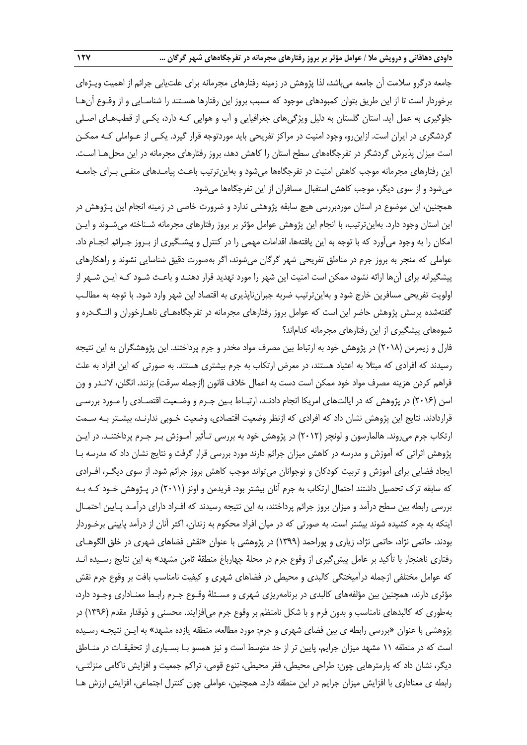جامعه درگرو سالمت آن جامعه میباشد، لذا پژوهش در زمینه رفتارهای مجرمانه برای علتیابی جرائم از اهمیت ویـژهای برخوردار است تا از این طریق بتوان کمبودهای موجود که مسبب بروز این رفتارها هسـتند را شناسـایی و از وقـوع آنهـا جلوگیری به عمل آید. استان گلستان به دلیل ویژگیهای جغرافیایی و آب و هوایی کـه دارد، یکـی از قطبهـای اصـلی گردشگری در ایران است. ازاینرو، وجود امنیت در مراکز تفریحی باید موردتوجه قرار گیرد. یکـی از عـواملی کـه ممکـن است میزان پذیرش گردشگر در تفرجگاههای سطح استان را کاهش دهد، بروز رفتارهای مجرمانه در این محلهـا اسـت. این رفتارهای مجرمانه موجب کاهش امنیت در تفرجگاهها میشود و بهاینترتیب باعـث پیامـدهای منفـی بـرای جامعـه میشود و از سوی دیگر، موجب کاهش استقبال مسافران از این تفرجگاهها میشود.

همچنین، این موضوع در استان موردبررسی هیچ سابقه پژوهشی ندارد و ضرورت خاصی در زمینه انجام این پـژوهش در این استان وجود دارد. بهاینترتیب، با انجام این پژوهش عوامل مؤثر بر بروز رفتارهای مجرمانه شـناخته میشـوند و ایـن امکان را به وجود میآورد که با توجه به این یافتهها، اقدامات مهمی را در کنترل و پیشـگیری از بـروز جـرائم انجـام داد. عواملی که منجر به بروز جرم در مناطق تفریحی شهر گرگان میشوند، اگر بهصورت دقیق شناسایی نشوند و راهکارهای پیشگیرانه برای آنها ارائه نشود، ممکن است امنیت این شهر را مورد تهدید قرار دهنـد و باعـث شـود کـه ایـن شـهر از اولویت تفریحی مسافرین خارج شود و بهاینترتیب ضربه جبرانناپذیری به اقتصاد این شهر وارد شود. با توجه به مطالـب گفتهشده پرسش پژوهش حاضر این است که عوامل بروز رفتارهای مجرمانه در تفرجگاههـای ناهـارخوران و النـگدره و شیوههای پیشگیری از این رفتارهای مجرمانه کداماند؟

فارل و زیمرمن (۲۰۱۸) در پژوهش خود به ارتباط بین مصرف مواد مخدر و جرم پرداختند. این پژوهشگران به این نتیجه رسیدند که افرادی که مبتلا به اعتیاد هستند، در معرض ارتکاب به جرم بیشتری هستند. به صورتی که این افراد به علت فراهم کردن هزینه مصرف مواد خود ممکن است دست به اعمال خلاف قانون (ازجمله سرقت) بزنند. انگلن، لانـدر و ون اسن (۲۰۱۶) در پژوهش که در ایالتهای امریکا انجام دادنـد، ارتبـاط بـین جـرم و وضـعیت اقتصـادی را مـورد بررسـی قراردادند. نتایج این پژوهش نشان داد که افرادی که ازنظر وضعیت اقتصادی، وضعیت خـوبی ندارنـد، بیشـتر بـه سـمت ارتکاب جرم میروند. هالمارسون و لونچر )2012( در پژوهش خود به بررسی تـأثیر آمـوزش بـر جـرم پرداختنـد. در ایـن پژوهش اثراتی که آموزش و مدرسه در کاهش میزان جرائم دارند مورد بررسی قرار گرفت و نتایج نشان داد که مدرسه بـا ایجاد فضایی برای آموزش و تربیت کودکان و نوجوانان میتواند موجب کاهش بروز جرائم شود. از سوی دیگـر، افـرادی که سابقه ترك تحصیل داشتند احتمال ارتکاب به جرم آنان بیشتر بود. فریدمن و اونز )2011( در پـژوهش خـود کـه بـه بررسی رابطه بین سطح درآمد و میزان بروز جرائم پرداختند، به این نتیجه رسیدند که افـراد دارای درآمـد پـایین احتمـال اینکه به جرم کشیده شوند بیشتر است. به صورتی که در میان افراد محکوم به زندان، اکثر آنان از درآمد پایینی برخـوردار بودند. حاتمی نژاد، حاتمی نژاد، زیاری و پوراحمد )1399( در پژوهشی با عنوان »نقش فضاهای شهری در خلق الگوهـای رفتاری ناهنجار با تأکید بر عامل پیش *گ*یری از وقوع جرم در محلۀ چهارباغ منطقۀ ثامن مشهد» به این نتایج رسـیده انـد که عوامل مختلفی ازجمله درآمیختگی کالبدی و محیطی در فضاهای شهری و کیفیت نامناسب بافت بر وقوع جرم نقش مؤثری دارند، همچنین بین مؤلفههای کالبدی در برنامهریزی شهری و مسـئلۀ وقـوع جـرم رابـ معنـاداری وجـود دارد، بهطوری که کالبدهای نامناسب و بدون فرم و با شکل نامنظم بر وقوع جرم میافزایند. محسنی و ذوقدار مقدم )1396( در پژوهشی با عنوان »بررسی رابطه ی بین فضای شهری و جرم: مورد مطالعه، منطقه یازده مشهد« به ایـن نتیجـه رسـیده است که در منطقه ۱۱ مشهد میزان جرایم، پایین تر از حد متوسط است و نیز همسو بـا بسـیاری از تحقیقـات در منـاطق دیگر، نشان داد که پارمترهایی چون: طراحی محیطی، فقر محیطی، تنوع قومی، تراکم جمعیت و افزایش ناکامی منزلتـی، رابطه ی معناداری با افزایش میزان جرایم در این منطقه دارد. همچنین، عواملی چون کنترل اجتماعی، افزایش ارزش هـا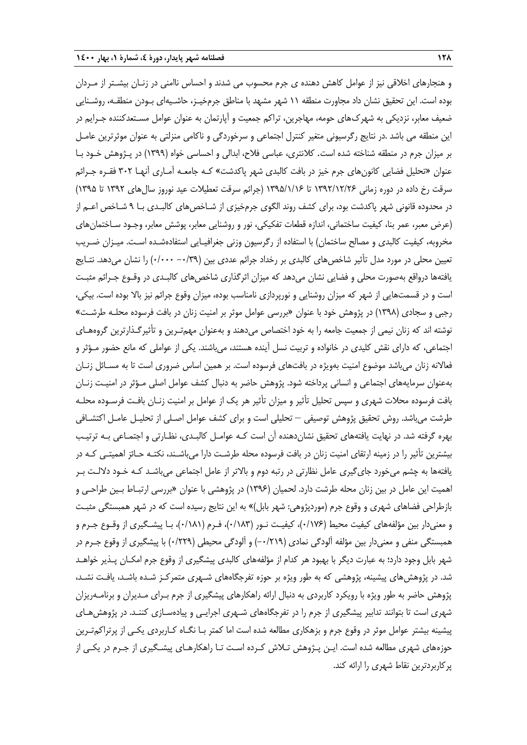و هنجارهای اخالقی نیز از عوامل کاهش دهنده ی جرم محسوب می شدند و احساس ناامنی در زنـان بیشـتر از مـردان بوده است. این تحقیق نشان داد مجاورت منطقه 11 شهر مشهد با مناطق جرمخیـز، حاشـیهای بـودن منطقـه، روشـنایی ضعیف معابر، نزدیکی به شهركهای حومه، مهاجرین، تراکم جمعیت و آپارتمان به عنوان عوامل مسـتعدکننده جـرایم در این منطقه می باشد .در نتایج رگرسیونی متغیر کنترل اجتماعی و سرخوردگی و ناکامی منزلتی به عنوان موثرترین عامـل بر میزان جرم در منطقه شناخته شده است. کالنتری، عباسی فالح، ابدالی و احساسی خواه )1399( در پـژوهش خـود بـا عنوان »تحلیل فضایی کانونهای جرم خیز در بافت کالبدی شهر پاکدشت« کـه جامعـه آمـاری آنهـا 302 فقـره جـرائم سرقت رخ داده در دوره زمانی 1392/12/26 تا 1395/1/16 )جرائم سرقت تعطیالت عید نوروز سالهای 1392 تا 1395( در محدوده قانونی شهر پاکدشت بود، برای کشف روند الگوی جرمخیزی از شـاخصهای کالبـدی بـا 9 شـاخص اعـم از )عر معبر، عمر بنا، کیفیت ساختمانی، اندازه قطعات تفکیکی، نور و روشنایی معابر، پوشش معابر، وجـود سـاختمانهای مخروبه، کیفیت کالبدی و مصالح ساختمان) با استفاده از رگرسیون وزنی جغرافیـایی استفادهشـده اسـت. میـزان ضـریب تعیین محلی در مورد مدل تأثیر شاخصهای کالبدی بر رخداد جرائم عددی بین )-0/39 0/000( را نشان میدهد. نتـایج یافتهها درواقع بهصورت محلی و فضایی نشان میدهد که میزان اثرگذاری شاخصهای کالبـدی در وقـوع جـرائم مثبـت است و در قسمتهایی از شهر که میزان روشنایی و نورپردازی نامناسب بوده، میزان وقوع جرائم نیز باال بوده است. بیکی، رجبی و سجادی )1398( در پژوهش خود با عنوان »بررسی عوامل موثر بر امنیت زنان در بافت فرسوده محلـه طرشـت« نوشته اند که زنان نیمی از جمعیت جامعه را به خود اختصاص میدهند و بهعنوان مهمتـرین و تأثیرگـذارترین گروههـای اجتماعی، که دارای نقش کلیدی در خانواده و تربیت نسل آینده هستند، میباشند. یکی از عواملی که مانع حضور مـؤثر و فعاالنه زنان میباشد موضوع امنیت بهویژه در بافتهای فرسوده است. بر همین اساس ضروری است تا به مسـائل زنـان بهعنوان سرمایههای اجتماعی و انسانی پرداخته شود. پژوهش حاضر به دنبال کشف عوامل اصلی مـؤثر در امنیـت زنـان بافت فرسوده محالت شهری و سپس تحلیل تأثیر و میزان تأثیر هر یک از عوامل بر امنیت زنـان بافـت فرسـوده محلـه طرشت میباشد. روش تحقیق پژوهش توصیفی – تحلیلی است و برای کشف عوامل اصـلی از تحلیـل عامـل اکتشـافی بهره گرفته شد. در نهایت یافتههای تحقیق نشاندهنده آن است کـه عوامـل کالبـدی، نظـارتی و اجتمـاعی بـه ترتیـب بیشترین تأثیر را در زمینه ارتقای امنیت زنان در بافت فرسوده محله طرشـت دارا میباشـند، نکتـه حـائز اهمیتـی کـه در یافتهها به چشم میخورد جایگیری عامل نظارتی در رتبه دوم و باالتر از عامل اجتماعی میباشـد کـه خـود داللـت بـر اهمیت این عامل در بین زنان محله طرشت دارد. لحمیان (۱۳۹۶) در پژوهشی با عنوان «بررسی ارتبـاط بـین طراحـی و بازطراحی فضاهای شهری و وقوع جرم (موردپژوهی: شهر بابل)» به این نتایج رسیده است که در شهر همبستگی مثبـت و معنیدار بین مؤلفههای کیفیت محیط (۰/۱۷۶)، کیفیـت نـور (۰/۱۸۳)، فـرم (۰/۱۸۱)، بـا پیشـگیری از وقـوع جـرم و همبستگی منفی و معنیدار بین مؤلفه آلودگی نمادی )-0/219( و آلودگی محیطی )0/229( با پیشگیری از وقوع جـرم در شهر بابل وجود دارد؛ به عبارت دیگر با بهبود هر کدام از مؤلفههای کالبدی پیشگیری از وقوع جرم امکـان پـذیر خواهـد شد. در پژوهشهای پیشینه، پژوهشی که به طور ویژه بر حوزه تفرجگاههای شـهری متمرکـز شـده باشـد، یافـت نشـد، پژوهش حاضر به طور ویژه با رویکرد کاربردی به دنبال ارائه راهکارهای پیشگیری از جرم بـرای مـدیران و برنامـهریزان شهری است تا بتوانند تدابیر پیشگیری از جرم را در تفرجگاههای شـهری اجرایـی و پیادهسـازی کننـد. در پژوهشهـای پیشینه بیشتر عوامل موثر در وقوع جرم و بزهکاری مطالعه شده است اما کمتر بـا نگـاه کـاربردی یکـی از پرتراکمتـرین حوزههای شهری مطالعه شده است. ایـن پـژوهش تـالش کـرده اسـت تـا راهکارهـای پیشـگیری از جـرم در یکـی از پرکاربردترین نقاط شهری را ارائه کند.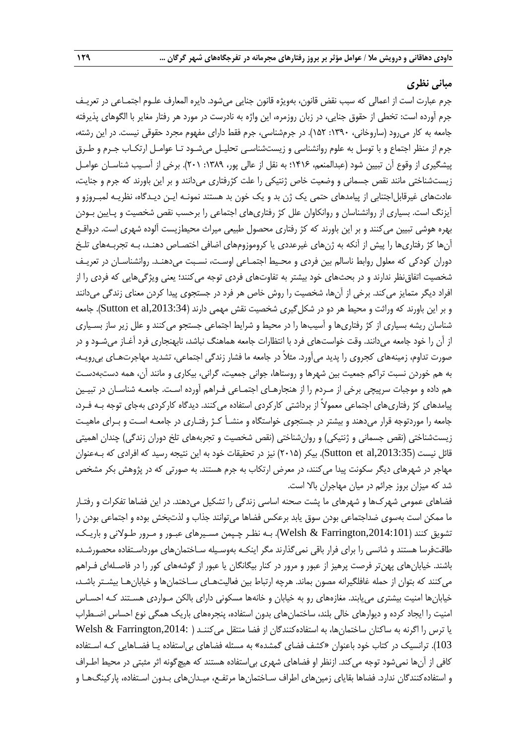#### **مبانی نظری**

جرم عبارت است از اعمالی که سبب نقض قانون، بهویژه قانون جنایی میشود. دایره المعارف علـوم اجتمـاعی در تعریـف جرم آورده است: تخطی از حقوق جنایی، در زبان روزمره، این واژه به نادرست در مورد هر رفتار مغایر با الگوهای پذیرفته جامعه به کار میرود (ساروخانی، ۱۳۹۰: ۱۵۲). در جرمشناسی، جرم فقط دارای مفهوم مجرد حقوقی نیست. در این رشته، جرم از منظر اجتماع و با توسل به علوم روانشناسی و زیستشناسـی تحلیـل میشـود تـا عوامـل ارتکـاب جـرم و طـرق پیشگیری از وقوع آن تبیین شود (عبدالمنعم، ۱۴۱۶؛ به نقل از عالی پور، ۱۳۸۹: ۲۰۱). برخی از آسـیب شناسـان عوامـل زیستشناختی مانند نقص جسمانی و وضعیت خاص ژنتیکی را علت کژرفتاری میدانند و بر این باورند که جرم و جنایت، عادتهای غیرقابل|جتنابی از پیامدهای حتمی یک ژن بد و یک خون بد هستند نمونـه ایـن دیـدگاه، نظریـه لمبـروزو و آیزنگ است. بسیاری از روانشناسان و روانکاوان علل کژ رفتاریهای اجتماعی را برحسب نقص شخصیت و پـایین بـودن بهره هوشی تبیین میکنند و بر این باورند که کژ رفتاری محصول طبیعی میراث محیطزیست آلوده شهری است. درواقـع آنها کژ رفتاریها را پیش از آنکه به ژنهای غیرعددی یا کروموزومهای اضافی اختصـاص دهنـد، بـه تجربـههای تلـخ دوران کودکی که معلول روابط ناسالم بین فردی و محـیط اجتمـاعی اوسـت، نسـبت میدهنـد. روانشناسـان در تعریـف شخصیت اتفاق نظر ندارند و در بحثهای خود بیشتر به تفاوتهای فردی توجه می کنند؛ یعنی ویژگیهایی که فردی را از افراد دیگر متمایز میکند. برخی از آنها، شخصیت را روش خاص هر فرد در جستجوی پیدا کردن معنای زندگی میدانند و بر این باورند که وراثت و محیط هر دو در شکل گیری شخصیت نقش مهمی دارند (Sutton et al,2013:34). جامعه شناسان ریشه بسیاری از کژ رفتاریها و آسیبها را در محیط و شرایط اجتماعی جستجو می کنند و علل زیر ساز بسـیاری از آن را خود جامعه میدانند. وقت خواستهای فرد با انتظارات جامعه هماهنگ نباشد، نابهنجاری فرد آغــاز میشــود و در صورت تداوم، زمینههای کجروی را پدید میآورد. مثالً در جامعه ما فشار زندگی اجتماعی، تشدید مهاجرتهـای بیرویـه، به هم خوردن نسبت تراکم جمعیت بین شهرها و روستاها، جوانی جمعیت، گرانی، بیکاری و مانند آن، همه دستبهدسـت هم داده و موجبات سرپیچی برخی از مـردم را از هنجارهـای اجتمـاعی فـراهم آورده اسـت. جامعـه شناسـان در تبیـین پیامدهای کژ رفتاریهای اجتماعی معموالً از برداشتی کارکردی استفاده میکنند. دیدگاه کارکردی بهجای توجه بـه فـرد، جامعه را موردتوجه قرار میدهند و بیشتر در جستجوی خواستگاه و منشـأ کـژ رفتـاری در جامعـه اسـت و بـرای ماهیـت زیستشناختی (نقص جسمانی و ژنتیکی) و روانشناختی (نقص شخصیت و تجربههای تلخ دوران زندگی) چندان اهمیتی قائل نیست (Sutton et al,2013:35). بیکر (۲۰۱۵) نیز در تحقیقات خود به این نتیجه رسید که افرادی که بـهعنوان مهاجر در شهرهای دیگر سکونت پیدا می کنند، در معرض ارتکاب به جرم هستند. به صورتی که در پژوهش بکر مشخص شد که میزان بروز جرائم در میان مهاجران باال است.

فضاهای عمومی شهركها و شهرهای ما پشت صحنه اساسی زندگی را تشکیل میدهند. در این فضاها تفکرات و رفتـار ما ممکن است بهسوی ضداجتماعی بودن سوق یابد برعکس فضاها میتوانند جذاب و لذتبخش بوده و اجتماعی بودن را تشویق کنند ),2014:101Farrington & Welsh). بـه نظـر چـپمن مسـیرهای عبـور و مـرور طـوالنی و باریـک، طاقتفرسا هستند و شانسی را برای فرار باقی نمیگذارند مگر اینکـه بهوسـیله سـاختمانهای مورداسـتفاده محصورشـده باشند. خیابانهای پهنتر فرصت پرهیز از عبور و مرور در کنار بیگانگان یا عبور از گوشههای کور را در فاصـلهای فـراهم می کنند که بتوان از حمله غافلگیرانه مصون بماند. هرچه ارتباط بین فعالیتهـای سـاختمانها و خیابانهـا بیشـتر باشـد، خیابانها امنیت بیشتری مییابند. مغازههای رو به خیابان و خانهها مسکونی دارای بالکن مـواردی هسـتند کـه احسـاس امنیت را ایجاد کرده و دیوارهای خالی بلند، ساختمانهای بدون استفاده، پنجرههای باریک همگی نوع احساس اضـطراب یا ترس را اگرنه به ساکنان ساختمانها، به استفادهکنندگان از فضا منتقل میکننـد ) ,2014:Farrington & Welsh 103(. ترانسیک در کتاب خود باعنوان »کشف فضای گمشده« به مسئله فضاهای بیاستفاده یـا فضـاهایی کـه اسـتفاده کافی از آنها نمیشود توجه می کند. ازنظر او فضاهای شهری بی|ستفاده هستند که هیچ گونه اثر مثبتی در محیط اطـراف و استفادهکنندگان ندارد. فضاها بقایای زمینهای اطراف سـاختمانها مرتفـع، میـدانهای بـدون اسـتفاده، پارکینگهـا و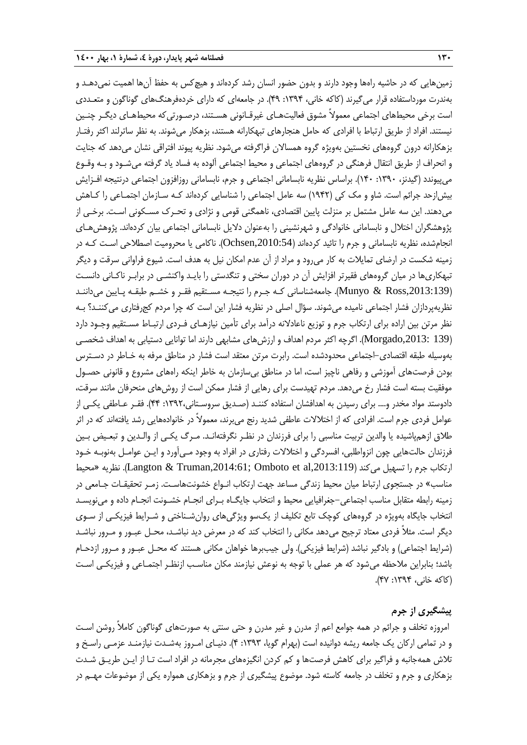زمینهایی که در حاشیه راهها وجود دارند و بدون حضور انسان رشد کردهاند و هیچکس به حفظ آنها اهمیت نمی دهـد و بهندرت مورداستفاده قرار میگیرند )کاکه خانی، :1394 49(. در جامعهای که دارای خردهفرهنگهای گوناگون و متعـددی است برخی محیطهای اجتماعی معمولاً مشوق فعالیتهـای غیرقـانونی هسـتند، درصـورتی که محیطهـای دیگـر چنـین نیستند. افراد از طریق ارتباط با افرادی که حامل هنجارهای تبهکارانه هستند، بزهکار میشوند. به نظر ساترلند اکثر رفتـار بزهکارانه درون گروههای نخستین بهویژه گروه همساالن فراگرفته میشود. نظریه پیوند افتراقی نشان میدهد که جنایت و انحراف از طریق انتقال فرهنگی در گروههای اجتماعی و محیط اجتماعی آلوده به فساد یاد گرفته میشـود و بـه وقـوع میپیوندد )گیدنز، :1390 140(. براساس نظریه نابسامانی اجتماعی و جرم، نابسامانی روزافزون اجتماعی درنتیجه افـزایش بیشازحد جرائم است. شاو و مک کی )1942( سه عامل اجتماعی را شناسایی کردهاند کـه سـازمان اجتمـاعی را کـاهش میدهند. این سه عامل مشتمل بر منزلت پایین اقتصادی، ناهمگنی قومی و نژادی و تحـرك مسـکونی اسـت. برخـی از پژوهشگران اختالل و نابسامانی خانوادگی و شهرنشینی را بهعنوان دالیل نابسامانی اجتماعی بیان کردهاند. پژوهشهـای انجامشده، نظریه نابسامانی و جرم را تائید کردهاند ),2010:54Ochsen). ناکامی یا محرومیت اصطالحی اسـت کـه در زمینه شکست در ارضای تمایالت به کار میرود و مراد از آن عدم امکان نیل به هدف است. شیوع فراوانی سرقت و دیگر تبهکاریها در میان گروههای فقیرتر افزایش آن در دوران سختی و تنگدستی را بایـد واکنشـی در برابـر ناکـانی دانسـت ),2013:139Ross & Munyo). جامعهشناسانی کـه جـرم را نتیجـه مسـتقیم فقـر و خشـم طبقـه پـایین میداننـد نظریهپردازان فشار اجتماعی نامیده میشوند. سؤال اصلی در نظریه فشار این است که چرا مردم کجرفتاری میکننـد؟ بـه نظر مرتن بین اراده برای ارتکاب جرم و توزیع ناعادالنه درآمد برای تأمین نیازهـای فـردی ارتبـا مسـتقیم وجـود دارد )139 ,2013:Morgado). اگرچه اکثر مردم اهداف و ارزشهای مشابهی دارند اما توانایی دستیابی به اهداف شخصـی بهوسیله طبقه اقتصادی-اجتماعی محدودشده است. رابرت مرتن معتقد است فشار در مناطق مرفه به خـاطر در دسـترس بودن فرصتهای آموزشی و رفاهی ناچیز است، اما در مناطق بیسازمان به خاطر اینکه راههای مشروع و قانونی حصـول موفقیت بسته است فشار رخ میدهد. مردم تهیدست برای رهایی از فشار ممکن است از روشهای منحرفان مانند سرقت، دادوستد مواد مخدر و.... برای رسیدن به اهدافشان استفاده کننـد )صـدیق سروسـتانی:1392، 44(. فقـر عـاطفی یکـی از عوامل فردی جرم است. افرادی که از اختالالت عاطفی شدید رنج میبرند، معموالً در خانوادههایی رشد یافتهاند که در اثر طالق ازهمپاشیده یا والدین تربیت مناسبی را برای فرزندان در نظـر نگرفتهانـد. مـرگ یکـی از والـدین و تبعـیض بـین فرزندان حالتهایی چون انزواطلبی، افسردگی و اختالالت رفتاری در افراد به وجود مـیآورد و ایـن عوامـل بهنوبـه خـود ارتکاب جرم را تسهیل میکند (Langton & Truman,2014:61; Omboto et al,2013:119). نظریه «محیط مناسب» در جستجوی ارتباط میان محیط زندگی مساعد جهت ارتکاب انـواع خشونتهاسـت. زمـر تحقیقـات جـامعی در زمینه رابطه متقابل مناسب اجتماعی–جغرافیایی محیط و انتخاب جایگــاه بـرای انجــام خشـونت انجــام داده و میiویسـد انتخاب جایگاه بهویژه در گروههای کوچک تابع تکلیف از یکسو ویژگیهای روانشـناختی و شـرای فیزیکـی از سـوی دیگر است. مثالً فردی معتاد ترجیح میدهد مکانی را انتخاب کند که در معر دید نباشـد، محـل عبـور و مـرور نباشـد (شرایط اجتماعی) و بادگیر نباشد (شرایط فیزیکی). ولی جیببرها خواهان مکانی هستند که محـل عبـور و مـرور ازدحـام باشد؛ بنابراین مالحظه میشود که هر عملی با توجه به نوعش نیازمند مکان مناسـب ازنظـر اجتمـاعی و فیزیکـی اسـت )کاکه خانی، :1394 47(.

#### **پیشگیری از جرم**

امروزه تخلف و جرائم در همه جوامع اعم از مدرن و غیر مدرن و حتی سنتی به صورتهای گوناگون کاملاً روشن است و در تمامی ارکان یک جامعه ریشه دوانیده است )بهرام گویا، :1393 4(. دنیـای امـروز بهشـدت نیازمنـد عزمـی راسـخ و تالش همهجانبه و فراگیر برای کاهش فرصتها و کم کردن انگیزههای مجرمانه در افراد است تـا از ایـن طریـق شـدت بزهکاری و جرم و تخلف در جامعه کاسته شود. موضوع پیشگیری از جرم و بزهکاری همواره یکی از موضوعات مهـم در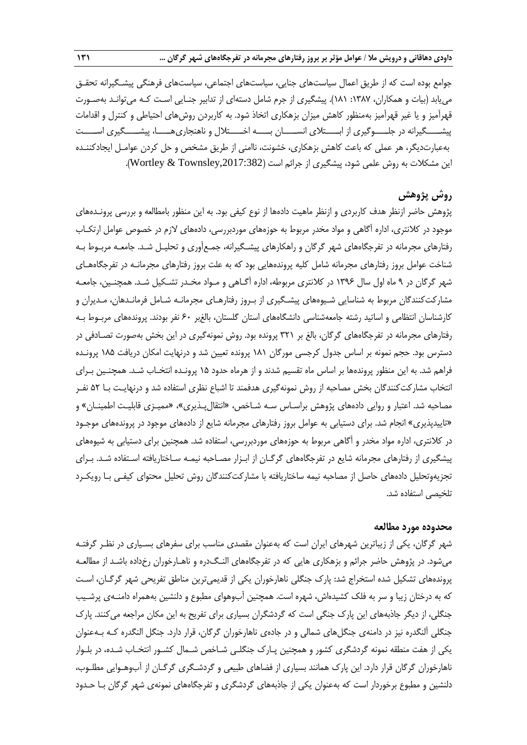جوامع بوده است که از طریق اعمال سیاستهای جنایی، سیاستهای اجتماعی، سیاستهای فرهنگی پیشـگیرانه تحقـق مییابد )بیات و همکاران، :1387 181(. پیشگیری از جرم شامل دستهای از تدابیر جنـایی اسـت کـه میتوانـد بهصـورت قهرآمیز و یا غیر قهرآمیز بهمنظور کاهش میزان بزهکاری اتخاذ شود. به کاربردن روشهای احتیاطی و کنترل و اقدامات پیشــــگیرانه در جلــــوگیری از ابــــتالی انســــان بــــه اخــــتالل و ناهنجاریهــــا، پیشــــگیری اســــت بهعبارتدیگر، هر عملی که باعث کاهش بزهکاری، خشونت، ناامنی از طریق مشخص و حل کردن عوامـل ایجادکننـده این مشکلات به روش علمی شود، پیشگیری از جرائم است (Wortley & Townsley,2017:382).

# **روش پژوهش**

پژوهش حاضر ازنظر هدف کاربردی و ازنظر ماهیت دادهها از نوع کیفی بود. به این منظور بامطالعه و بررسی پرونـدههای موجود در کلانتری، اداره آگاهی و مواد مخدر مربوط به حوزههای موردبررسی، دادههای لازم در خصوص عوامل ارتکـاب رفتارهای مجرمانه در تفرجگاههای شهر گرگان و راهکارهای پیشـگیرانه، جمـعآوری و تحلیـل شـد. جامعـه مربـو بـه شناخت عوامل بروز رفتارهای مجرمانه شامل کلیه پروندههایی بود که به علت بروز رفتارهای مجرمانـه در تفرجگاههـای شهر گرگان در 9 ماه اول سال 1396 در کالنتری مربوطه، اداره آگـاهی و مـواد مخـدر تشـکیل شـد. همچنـین، جامعـه مشارکتکنندگان مربوط به شناسایی شـیوههای پیشـگیری از بـروز رفتارهـای مجرمانـه شـامل فرمانـدهان، مـدیران و کارشناسان انتظامی و اساتید رشته جامعهشناسی دانشگاههای استان گلستان، بالغبر ۶۰ نفر بودند. پروندههای مربـوط بـه رفتارهای مجرمانه در تفرجگاههای گرگان، بالغ بر 321 پرونده بود. روش نمونهگیری در این بخش بهصورت تصـادفی در دسترس بود. حجم نمونه بر اساس جدول کرجسی مورگان 181 پرونده تعیین شد و درنهایت امکان دریافت 185 پرونـده فراهم شد. به این منظور پروندهها بر اساس ماه تقسیم شدند و از هرماه حدود 15 پرونـده انتخـاب شـد. همچنـین بـرای انتخاب مشارکتکنندگان بخش مصاحبه از روش نمونهگیری هدفمند تا اشباع نظری استفاده شد و درنهایـت بـا 52 نفـر مصاحبه شد. اعتبار و روایی دادههای پژوهش براسـاس سـه شـاخص، »انتقالپـذیری«، »ممیـزی قابلیـت اطمینـان« و »تاییدپذیری« انجام شد. برای دستیابی به عوامل بروز رفتارهای مجرمانه شایع از دادههای موجود در پروندههای موجـود در کلانتری، اداره مواد مخدر و آگاهی مربوط به حوزههای موردبررسی، استفاده شد. همچنین برای دستیابی به شیوههای پیشگیری از رفتارهای مجرمانه شایع در تفرجگاههای گرگـان از ابـزار مصـاحبه نیمـه سـاختاریافته اسـتفاده شـد. بـرای تجزیهوتحلیل دادههای حاصل از مصاحبه نیمه ساختاریافته با مشارکتکنندگان روش تحلیل محتوای کیفـی بـا رویکـرد تلخیصی استفاده شد.

#### **محدوده مورد مطالعه**

شهر گرگان، یکی از زیباترین شهرهای ایران است که بهعنوان مقصدی مناسب برای سفرهای بسـیاری در نظـر گرفتـه میشود. در پژوهش حاضر جرائم و بزهکاری هایی که در تفرجگاههای النـگدره و ناهـارخوران رخداده باشـد از مطالعـه پروندههای تشکیل شده استخراج شد: پارك جنگلی ناهارخوران یکی از قدیمیترین مناطق تفریحی شهر گرگـان، اسـت که به درختان زیبا و سر به فلک کشیدهاش، شهره است. همچنین آبوهوای مطبوع و دلنشین بههمراه دامنـهی پرشـیب جنگلی، از دیگر جاذبههای این پارك جنگی است که گردشگران بسیاری برای تفریح به این مکان مراجعه میکنند. پارك جنگلی آلنگدره نیز در دامنهی جنگلهای شمالی و در جادهی ناهارخوران گرگان، قرار دارد. جنگل النگدره کـه بـهعنوان یکی از هفت منطقه نمونه گردشگری کشور و همچنین پـارك جنگلـی شـاخص شـمال کشـور انتخـاب شـده، در بلـوار ناهارخوران گرگان قرار دارد. این پارك همانند بسیاری از فضاهای طبیعی و گردشـگری گرگـان از آبوهـوایی مطلـوب، دلنشین و مطبوع برخوردار است که بهعنوان یکی از جاذبههای گردشگری و تفرجگاههای نمونهی شهر گرگان بـا حـدود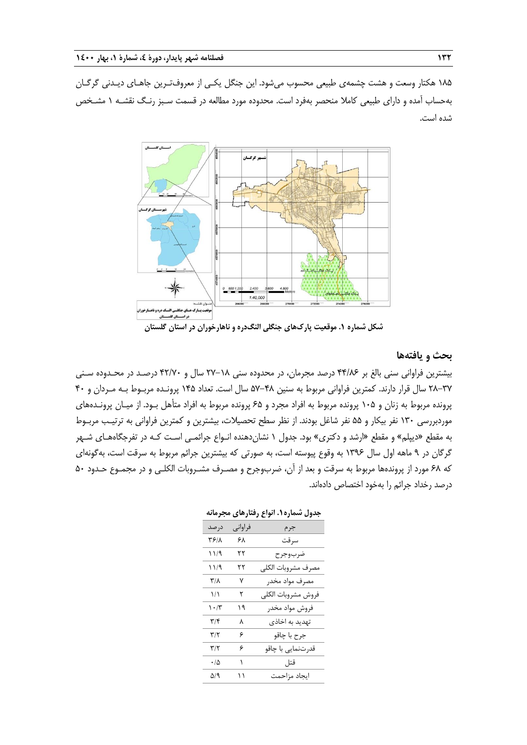185 هکتار وسعت و هشت چشمهی طبیعی محسوب میشود. این جنگل یکـی از معروفتـرین جاهـای دیـدنی گرگـان بهحساب آمده و دارای طبیعی کامال منحصر بهفرد است. محدوده مورد مطالعه در قسمت سـبز رنـگ نقشـه 1 مشـخص شده است.



**شکل شماره .1 موقعیت پارکهای جنگلی النگدره و ناهارخوران در استان گلستان**

#### **بحث و یافتهها**

بیشترین فراوانی سنی بالغ بر 44/86 درصد مجرمان، در محدوده سنی 27-18 سال و 42/70 درصـد در محـدوده سـنی 28-37 سال قرار دارند. کمترین فراوانی مربو به سنین 57-48 سال است. تعداد 145 پرونـده مربـو بـه مـردان و 40 پرونده مربوط به زنان و ۱۰۵ پرونده مربوط به افراد مجرد و ۶۵ پرونده مربوط به افراد متأهل بـود. از میـان پرونـدههای موردبررسی ۱۳۰ نفر بیکار و ۵۵ نفر شاغل بودند. از نظر سطح تحصیلات، بیشترین و کمترین فراوانی به ترتیب مربـوط به مقطع »دیپلم« و مقطع »ارشد و دکتری« بود. جدول 1 نشاندهنده انـواع جرائمـی اسـت کـه در تفرجگاههـای شـهر گرگان در ۹ ماهه اول سال ۱۳۹۶ به وقوع پیوسته است، به صورتی که بیشترین جرائم مربوط به سرقت است، بهگونهای که ۶۸ مورد از پروندهها مربوط به سرقت و بعد از آن، ضربوجرح و مصـرف مشـروبات الکلـی و در مجمـوع حـدود ۵۰ درصد رخداد جرائم را بهخود اختصاص دادهاند.

**جدول شماره.1 انواع رفتارهای مجرمانه**

| در صد                           | فراوانی | جرم                |
|---------------------------------|---------|--------------------|
| ۳۶۱۸                            | ۶۸      | سر قت              |
| ۱۱/۹                            | ٢٢      | ضربوجرح            |
| ۱۱/۹                            | ٢٢      | مصرف مشروبات الكلى |
| $\mathsf{r}_\mathsf{A}$         | ٧       | مصرف مواد مخدر     |
| $\frac{1}{2}$                   | ٢       | فروش مشروبات الكلى |
| $\mathcal{N} \cdot \mathcal{N}$ | ۱۹      | فروش مواد مخدر     |
| ۳/۴                             | ٨       | تهدید به اخاذی     |
| ۳/۲                             | ۶       | جرح با چاقو        |
| ۳/۲                             | ۶       | قدرتنمايي با چاقو  |
| $\cdot/\Delta$                  | ١       | قتل                |
| ۵/۹                             | ۱۱      | ايجاد مزاحمت       |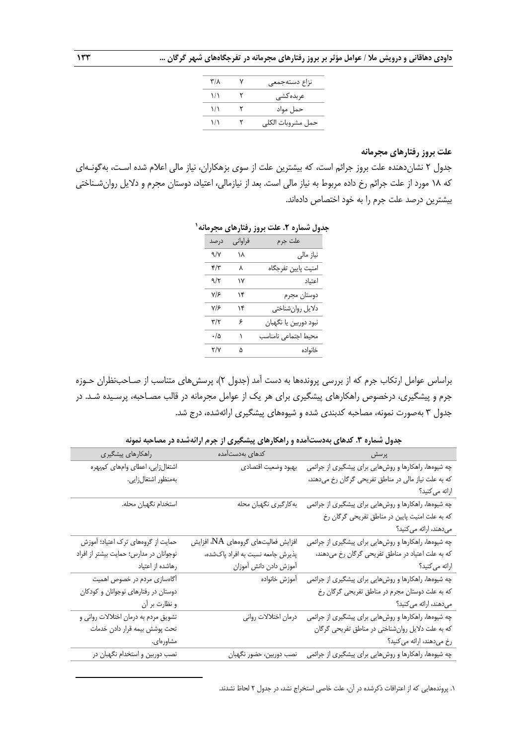| ۳/۸           | نزاع دستهجمعى     |
|---------------|-------------------|
| $\frac{1}{2}$ | عربدہ کشے ِ       |
| $\frac{1}{2}$ | حمل مواد          |
| ۱۱            | حمل مشروبات الكلى |

#### **علت بروز رفتارهای مجرمانه**

جدول 2 نشاندهنده علت بروز جرائم است، که بیشترین علت از سوی بزهکاران، نیاز مالی اعالم شده اسـت، بهگونـهای که ۱۸ مورد از علت جرائم رخ داده مربوط به نیاز مالی است. بعد از نیازمالی، اعتیاد، دوستان مجرم و دلایل روانشـناختی بیشترین درصد علت جرم را به خود اختصاص دادهاند.

| علت جرم<br>فراواني<br>درصد<br>نیاز مالی<br>۱۸<br>۹/۷<br>امنيت پايين تفرجگاه<br>۴/۳<br>٨<br>اعتياد<br>۹/۲<br>۱۷<br>دوستان مجرم<br>۷۱۶<br>۱۴<br>دلايل روانشناختي<br>۷۱۶<br>۱۴<br>نبود دوربين يا نگهبان<br>۳/۲<br>۶<br>محيط اجتماعى نامناسب<br>ه/٠<br>١<br>٣/٧<br>خانواده<br>۵ | . . | ,,,<br>ັ້ |
|-----------------------------------------------------------------------------------------------------------------------------------------------------------------------------------------------------------------------------------------------------------------------------|-----|-----------|
|                                                                                                                                                                                                                                                                             |     |           |
|                                                                                                                                                                                                                                                                             |     |           |
|                                                                                                                                                                                                                                                                             |     |           |
|                                                                                                                                                                                                                                                                             |     |           |
|                                                                                                                                                                                                                                                                             |     |           |
|                                                                                                                                                                                                                                                                             |     |           |
|                                                                                                                                                                                                                                                                             |     |           |
|                                                                                                                                                                                                                                                                             |     |           |
|                                                                                                                                                                                                                                                                             |     |           |

#### **1 جدول شماره .2 علت بروز رفتارهای مجرمانه**

براساس عوامل ارتکاب جرم که از بررسی پروندهها به دست آمد )جدول 2(، پرسشهای متناسب از صـاحبنظران حـوزه جرم و پیشگیری، درخصوص راهکارهای پیشگیری برای هر یک از عوامل مجرمانه در قالب مصـاحبه، پرسـیده شـد. در جدول 3 بهصورت نمونه، مصاحبه کدبندی شده و شیوههای پیشگیری ارائهشده، درج شد.

**جدول شماره .3 کدهای بهدستآمده و راهکارهای پیشگیری از جرم ارائهشده در مصاحبه نمونه**

| پرسش                                                 | ا است کدها <i>ی</i> بهدستآمده       | راهكارهاي پيشگيري                       |
|------------------------------------------------------|-------------------------------------|-----------------------------------------|
| چه شیوهها، راهکارها و روشهایی برای پیشگیری از جرائمی | بهبود وضعيت اقتصادي                 | اشتغال زايي، اعطاي وامهاي كمبهره        |
| که به علت نیاز مالی در مناطق تفریحی گرگان رخ میدهند، |                                     | بەمنظور اشتغالزايى.                     |
| ارائه مي كنيد؟                                       |                                     |                                         |
| چه شیوهها، راهکارها و روشهایی برای پیشگیری از جرائمی | به كارگيري نگهبان محله              | استخدام نگهبان محله.                    |
| که به علت امنیت پایین در مناطق تفریحی گرگان رخ       |                                     |                                         |
| میدهند، ارائه میکنید؟                                |                                     |                                         |
| چه شیوهها، راهکارها و روشهایی برای پیشگیری از جرائمی | افزایش فعالیتهای گروههای NA، افزایش | حمایت از گروههای ترک اعتیاد؛ آموزش      |
| که به علت اعتیاد در مناطق تفریحی گرگان رخ میدهند،    | پذیرش جامعه نسبت به افراد پاکشده،   | نوجوانان در مدارس؛ حمایت بیشتر از افراد |
| ارائه می کنید؟                                       | أموزش دادن دانش أموزان              | رهاشده از اعتياد                        |
| چه شیوهها، راهکارها و روشهایی برای پیشگیری از جرائمی | أموزش خانواده                       | آگاهسازی مردم در خصوص اهمیت             |
| که به علت دوستان مجرم در مناطق تفریحی گرگان رخ       |                                     | دوستان در رفتارهای نوجوانان و کودکان    |
| میدهند، ارائه میکنید؟                                |                                     | و نظارت بر أن                           |
| چه شیوهها، راهکارها و روشهایی برای پیشگیری از جرائمی | درمان اختلالات رواني                | تشویق مردم به درمان اختلالات روانی و    |
| که به علت دلایل روانشناختی در مناطق تفریحی گرگان     |                                     | تحت پوشش بیمه قرار دادن خدمات           |
| رخ مىدهند، ارائه مى كنيد؟                            |                                     | مشاورەاي.                               |
| چه شیوهها، راهکارها و روشهایی برای پیشگیری از جرائمی | نصب دوربین، حضور نگهبان             | نصب دوربین و استخدام نگهبان در          |
|                                                      |                                     |                                         |

.1 پروندههایی که از اعترافات ذکرشده در آن، علت خاصی استخراج نشد، در جدول 2 لحاظ نشدند.

1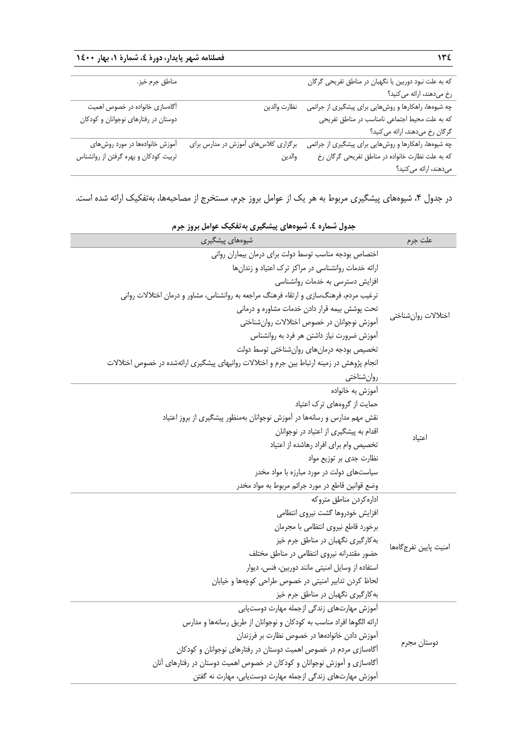| 13٤                                                   | فصلنامه شهر پایدار، دورهٔ ٤، شمارهٔ ١، بهار ١٤٠٠ |                                       |
|-------------------------------------------------------|--------------------------------------------------|---------------------------------------|
| که به علت نبود دوربین یا نگهبان در مناطق تفریحی گرگان |                                                  | مناطق جرم خيز.                        |
| رخ میدهند، ارائه میکنید؟                              |                                                  |                                       |
| چه شیوهها، راهکارها و روشهایی برای پیشگیری از جرائمی  | نظارت والدين                                     | آگاهسازی خانواده در خصوص اهمیت        |
| كه به علت محيط اجتماعي نامناسب در مناطق تفريحي        |                                                  | دوستان در رفتارهای نوجوانان و کودکان  |
| گرگان رخ میدهند، ارائه می کنید؟                       |                                                  |                                       |
| چه شیوهها، راهکارها و روشهایی برای پیشگیری از جرائمی  | برگزاری کلاسهای آموزش در مدارس برای              | آموزش خانوادهها در مورد روشهای        |
| كه به علت نظارت خانواده در مناطق تفريحي گرگان رخ      | والدين                                           | تربیت کودکان و بهره گرفتن از روانشناس |
| میدهند، ارائه میکنید؟                                 |                                                  |                                       |

در جدول ۴، شیوههای پیشگیری مربوط به هر یک از عوامل بروز جرم، مستخرج از مصاحبهها، بهتفکیک ارائه شده است.

| شیوههای پیشگیری                                                                           | علت جرم                |  |
|-------------------------------------------------------------------------------------------|------------------------|--|
| اختصاص بودجه مناسب توسط دولت براي درمان بيماران رواني                                     |                        |  |
| ارائه خدمات روانشناسی در مراکز ترک اعتیاد و زندانها                                       | اختلالات روانشناختي    |  |
| افزایش دسترسی به خدمات روانشناسی                                                          |                        |  |
| ترغیب مردم، فرهنگسازی و ارتقاء فرهنگ مراجعه به روانشناس، مشاور و درمان اختلالات روانی     |                        |  |
| تحت پوشش بیمه قرار دادن خدمات مشاوره و درمانی                                             |                        |  |
| آموزش نوجوانان در خصوص اختلالات روان شناختی                                               |                        |  |
| آموزش ضرورت نیاز داشتن هر فرد به روانشناس                                                 |                        |  |
| تخصيص بودجه درمان هاى روان شناختى توسط دولت                                               |                        |  |
| انجام پژوهش در زمینه ارتباط بین جرم و اختلالات روانیهای پیشگیری ارائهشده در خصوص اختلالات |                        |  |
| روانشناختي                                                                                |                        |  |
| آموزش به خانواده                                                                          | اعتياد                 |  |
| حمایت از گروههای ترک اعتیاد                                                               |                        |  |
| نقش مهم مدارس و رسانهها در آموزش نوجوانان بهمنظور پیشگیری از بروز اعتیاد                  |                        |  |
| اقدام به پیشگیری از اعتیاد در نوجوانان                                                    |                        |  |
| تخصيص وام براى افراد رهاشده از اعتياد                                                     |                        |  |
| نظارت جدی بر توزیع مواد                                                                   |                        |  |
| سیاستهای دولت در مورد مبارزه با مواد مخدر                                                 |                        |  |
| وضع قوانین قاطع در مورد جرائم مربوط به مواد مخدر                                          |                        |  |
| اداره كردن مناطق متروكه                                                                   |                        |  |
| افزایش خودروها گشت نیروی انتظامی                                                          |                        |  |
| برخورد قاطع نيروى انتظامى با مجرمان                                                       |                        |  |
| به کارگیری نگهبان در مناطق جرم خیز                                                        | امنيت پايين تفرج گاهها |  |
| حضور مقتدرانه نيروى انتظامى در مناطق مختلف                                                |                        |  |
| استفاده از وسایل امنیتی مانند دوربین، فنس، دیوار                                          |                        |  |
| لحاظ کردن تدابیر امنیتی در خصوص طراحی کوچهها و خیابان                                     |                        |  |
| به کارگیری نگهبان در مناطق جرم خیز                                                        |                        |  |
| آموزش مهارتهاى زندگى ازجمله مهارت دوستيابى                                                | دوستان مجرم            |  |
| ارائه الگوها افراد مناسب به کودکان و نوجوانان از طریق رسانهها و مدارس                     |                        |  |
| آموزش دادن خانوادهها در خصوص نظارت بر فرزندان                                             |                        |  |
| آگاهسازی مردم در خصوص اهمیت دوستان در رفتارهای نوجوانان و کودکان                          |                        |  |
| آگاهسازی و آموزش نوجوانان و کودکان در خصوص اهمیت دوستان در رفتارهای آنان                  |                        |  |
| آموزش مهارتهای زندگی ازجمله مهارت دوستیابی، مهارت نه گفتن                                 |                        |  |

**جدول شماره .4 شیوههای پیشگیری بهتفکیک عوامل بروز جرم**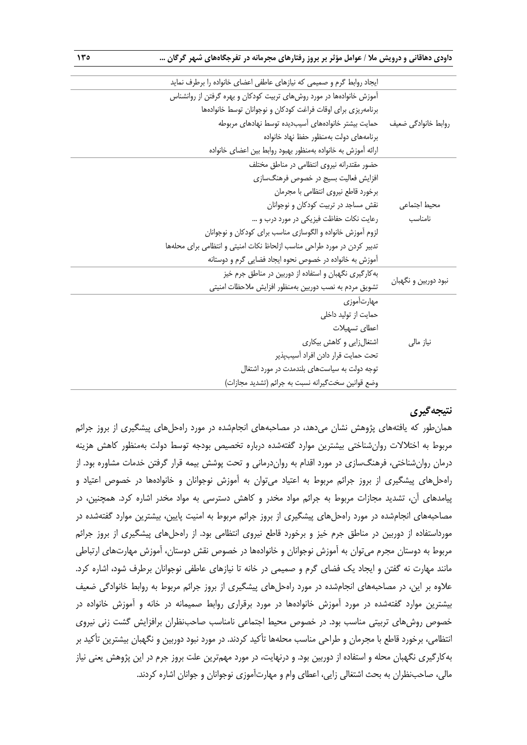**داودی دهاقانی و درویش مال / عوامل مؤثر بر بروز رفتارهای مجرمانه در تفرجگاههای شهر گرگان ... 135**

|                         | ایجاد روابط گرم و صمیمی که نیازهای عاطفی اعضای خانواده را برطرف نماید   |
|-------------------------|-------------------------------------------------------------------------|
|                         | آموزش خانوادهها در مورد روشهای تربیت کودکان و بهره گرفتن از روانشناس    |
| روابط خانوادگی ضعیف     | برنامهریزی برای اوقات فراغت کودکان و نوجوانان توسط خانوادهها            |
|                         | حمايت بيشتر خانوادههاى أسيبديده توسط نهادهاى مربوطه                     |
|                         | برنامههای دولت بهمنظور حفظ نهاد خانواده                                 |
|                         | ارائه آموزش به خانواده بهمنظور بهبود روابط بين اعضاى خانواده            |
| محيط اجتماعى<br>نامناسب | حضور مقتدرانه نیروی انتظامی در مناطق مختلف                              |
|                         | افزایش فعالیت بسیج در خصوص فرهنگسازی                                    |
|                         | برخورد قاطع نيروى انتظامى با مجرمان                                     |
|                         | نقش مساجد در تربیت کودکان و نوجوانان                                    |
|                         | رعایت نکات حفاظت فیزیکی در مورد درب و …                                 |
|                         | لزوم أموزش خانواده و الگوسازی مناسب برای کودکان و نوجوانان              |
|                         | تدبیر کردن در مورد طراحی مناسب ازلحاظ نکات امنیتی و انتظامی برای محلهها |
|                         | آموزش به خانواده در خصوص نحوه ایجاد فضایی گرم و دوستانه                 |
| نبود دوربین و نگهبان    | به کارگیری نگهبان و استفاده از دوربین در مناطق جرم خیز                  |
|                         | تشويق مردم به نصب دوربين بهمنظور افزايش ملاحظات امنيتي                  |
|                         | مهارتآموزي                                                              |
| نیاز مالی               | حمایت از تولید داخلی                                                    |
|                         | اعطاى تسهيلات                                                           |
|                         | اشتغالزایی و کاهش بیکاری                                                |
|                         | تحت حمايت قرار دادن افراد آسيبپذير                                      |
|                         | توجه دولت به سیاستهای بلندمدت در مورد اشتغال                            |
|                         | وضع قوانین سختگیرانه نسبت به جرائم (تشدید مجازات)                       |

# **نتیجهگیری**

همانطور که یافتههای پژوهش نشان میدهد، در مصاحبههای انجامشده در مورد راهحلهای پیشگیری از بروز جرائم مربوط به اختلالات روانشناختی بیشترین موارد گفتهشده درباره تخصیص بودجه توسط دولت بهمنظور کاهش هزینه درمان روانشناختی، فرهنگسازی در مورد اقدام به رواندرمانی و تحت پوشش بیمه قرار گرفتن خدمات مشاوره بود. از راهحلهای پیشگیری از بروز جرائم مربوط به اعتیاد میتوان به آموزش نوجوانان و خانوادهها در خصوص اعتیاد و پیامدهای آن، تشدید مجازات مربو به جرائم مواد مخدر و کاهش دسترسی به مواد مخدر اشاره کرد. همچنین، در مصاحبههای انجامشده در مورد راهحلهای پیشگیری از بروز جرائم مربوط به امنیت پایین، بیشترین موارد گفتهشده در مورداستفاده از دوربین در مناطق جرم خیز و برخورد قاطع نیروی انتظامی بود. از راهحلهای پیشگیری از بروز جرائم مربوط به دوستان مجرم میتوان به اموزش نوجوانان و خانوادهها در خصوص نقش دوستان، اموزش مهارتهای ارتباطی مانند مهارت نه گفتن و ایجاد یک فضای گرم و صمیمی در خانه تا نیازهای عاطفی نوجوانان برطرف شود، اشاره کرد. علاوه بر این، در مصاحبههای انجامشده در مورد راهحلهای پیشگیری از بروز جرائم مربوط به روابط خانوادگی ضعیف بیشترین موارد گفتهشده در مورد آموزش خانوادهها در مورد برقراری روابط صمیمانه در خانه و آموزش خانواده در خصوص روشهای تربیتی مناسب بود. در خصوص محیط اجتماعی نامناسب صاحبنظران برافزایش گشت زنی نیروی انتظامی، برخورد قاطع با مجرمان و طراحی مناسب محلهها تأکید کردند. در مورد نبود دوربین و نگهبان بیشترین تأکید بر بهکارگیری نگهبان محله و استفاده از دوربین بود. و درنهایت، در مورد مهمترین علت بروز جرم در این پژوهش یعنی نیاز مالی، صاحب:نظران به بحث اشتغالی زایی، اعطای وام و مهارتآموزی نوجوانان و جوانان اشاره کردند.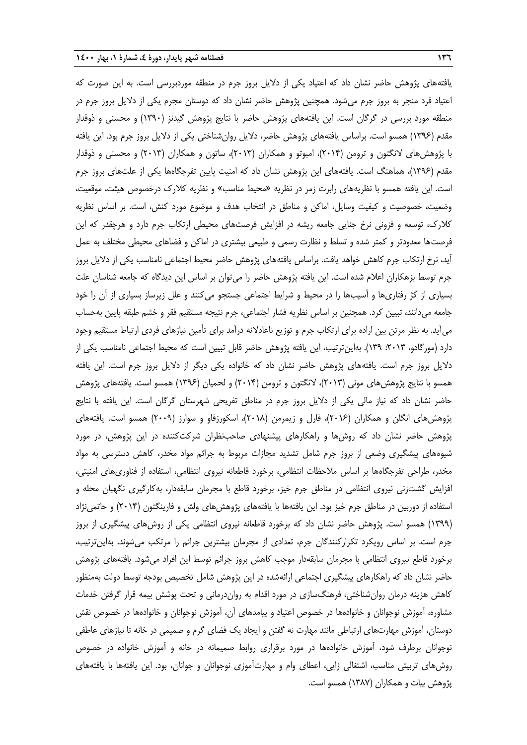یافتههای پژوهش حاضر نشان داد که اعتیاد یکی از دالیل بروز جرم در منطقه موردبررسی است. به این صورت که اعتیاد فرد منجر به بروز جرم میشود. همچنین پژوهش حاضر نشان داد که دوستان مجرم یکی از دالیل بروز جرم در منطقه مورد بررسی در گرگان است. این یافتههای پژوهش حاضر با نتایج پژوهش گیدنز )1390( و محسنی و ذوقدار مقدم )1396( همسو است. براساس یافتههای پژوهش حاضر، دالیل روانشناختی یکی از دالیل بروز جرم بود. این یافته با پژوهشهای النگتون و ترومن )2014(، امبوتو و همکاران )2013(، ساتون و همکاران )2013( و محسنی و ذوقدار مقدم )1396(، هماهنگ است. یافتههای این پژوهش نشان داد که امنیت پایین تفرجگاهها یکی از علتهای بروز جرم است. این یافته همسو با نظریههای رابرت زمر در نظریه «محیط مناسب» و نظریه کلارک درخصوص هیئت، موقعیت، وضعیت، خصوصیت و کیفیت وسایل، اماکن و مناطق در انتخاب هدف و موضوع مورد کنش، است. بر اساس نظریه کالرك، توسعه و فزونی نرخ جنایی جامعه ریشه در افزایش فرصتهای محیطی ارتکاب جرم دارد و هرچقدر که این فرصتها معدودتر و کمتر شده و تسلط و نظارت رسمی و طبیعی بیشتری در اماکن و فضاهای محیطی مختلف به عمل آید، نرخ ارتکاب جرم کاهش خواهد یافت. براساس یافتههای پژوهش حاضر محیط اجتماعی نامناسب یکی از دلایل بروز جرم توسط بزهکاران اعلام شده است. این یافته پژوهش حاضر را می¤وان بر اساس این دیدگاه که جامعه شناسان علت بسیاری از کژ رفتاریها و آسیبها را در محیط و شرایط اجتماعی جستجو میکنند و علل زیرساز بسیاری از آن را خود جامعه میدانند، تبیین کرد. همچنین بر اساس نظریه فشار اجتماعی، جرم نتیجه مستقیم فقر و خشم طبقه پایین بهحساب میآید. به نظر مرتن بین اراده برای ارتکاب جرم و توزیع ناعادالنه درآمد برای تأمین نیازهای فردی ارتبا مستقیم وجود دارد (مورگادو، ۲۰۱۳، ۱۳۹). بهاین ترتیب، این یافته پژوهش حاضر قابل تبیین است که محیط اجتماعی نامناسب یکی از دالیل بروز جرم است. یافتههای پژوهش حاضر نشان داد که خانواده یکی دیگر از دالیل بروز جرم است. این یافته همسو با نتایج پژوهش،های مونی (۲۰۱۳)، لانگتون و ترومن (۲۰۱۴) و لحمیان (۱۳۹۶) همسو است. یافتههای پژوهش حاضر نشان داد که نیاز مالی یکی از دالیل بروز جرم در مناطق تفریحی شهرستان گرگان است. این یافته با نتایج پژوهشهای انگلن و همکاران )2016(، فارل و زیمرمن )2018(، اسکورزفاو و سوارز )2009( همسو است. یافتههای پژوهش حاضر نشان داد که روشها و راهکارهای پیشنهادی صاحبنظران شرکتکننده در این پژوهش، در مورد شیوههای پیشگیری وضعی از بروز جرم شامل تشدید مجازات مربوط به جرائم مواد مخدر، کاهش دسترسی به مواد مخدر، طراحی تفرجگاهها بر اساس مالحظات انتظامی، برخورد قاطعانه نیروی انتظامی، استفاده از فناوریهای امنیتی، افزایش گشتزنی نیروی انتظامی در مناطق جرم خیز، برخورد قاطع با مجرمان سابقهدار، بهکارگیری نگهبان محله و استفاده از دوربین در مناطق جرم خیز بود. این یافتهها با یافتههای پژوهشهای ولش و فارینگتون )2014( و حاتمینژاد )1399( همسو است. پژوهش حاضر نشان داد که برخورد قاطعانه نیروی انتظامی یکی از روشهای پیشگیری از بروز جرم است. بر اساس رویکرد تکرارکنندگان جرم، تعدادی از مجرمان بیشترین جرائم را مرتکب میشوند. بهاینترتیب، برخورد قاطع نیروی انتظامی با مجرمان سابقهدار موجب کاهش بروز جرائم توسط این افراد میشود. یافتههای پژوهش حاضر نشان داد که راهکارهای پیشگیری اجتماعی ارائهشده در این پژوهش شامل تخصیص بودجه توسط دولت بهمنظور کاهش هزینه درمان روانشناختی، فرهنگسازی در مورد اقدام به رواندرمانی و تحت پوشش بیمه قرار گرفتن خدمات مشاوره، آموزش نوجوانان و خانوادهها در خصوص اعتیاد و پیامدهای آن، آموزش نوجوانان و خانوادهها در خصوص نقش دوستان، آموزش مهارتهای ارتباطی مانند مهارت نه گفتن و ایجاد یک فضای گرم و صمیمی در خانه تا نیازهای عاطفی نوجوانان برطرف شود، آموزش خانوادهها در مورد برقراری روابط صمیمانه در خانه و آموزش خانواده در خصوص روشهای تربیتی مناسب، اشتغالی زایی، اعطای وام و مهارتآموزی نوجوانان و جوانان، بود. این یافتهها با یافتههای پژوهش بیات و همکاران )1387( همسو است.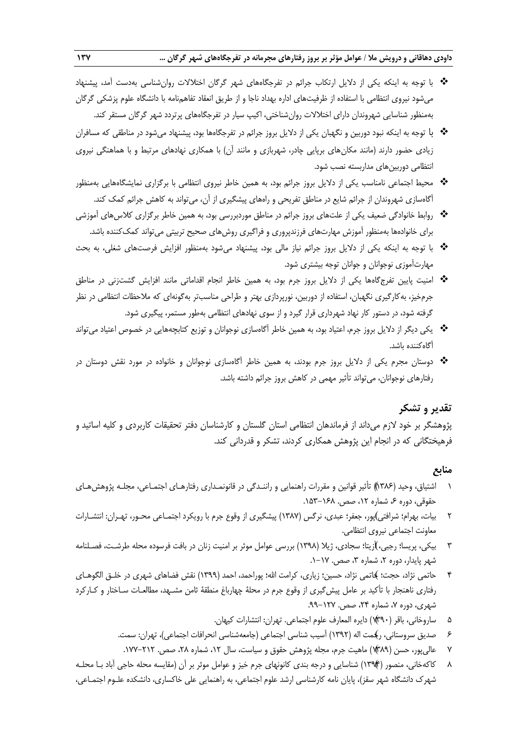- با توجه به اینکه یکی از دالیل ارتکاب جرائم در تفرجگاههای شهر گرگان اختالالت روانشناسی بهدست آمد، پیشنهاد میشود نیروی انتظامی با استفاده از ظرفیتهای اداره بهداد ناجا و از طریق انعقاد تفاهمنامه با دانشگاه علوم پزشکی گرگان بهمنظور شناسایی شهروندان دارای اختالالت روانشناختی، اکیپ سیار در تفرجگاههای پرتردد شهر گرگان مستقر کند.
- با توجه به اینکه نبود دوربین و نگهبان یکی از دالیل بروز جرائم در تفرجگاهها بود، پیشنهاد میشود در مناطقی که مسافران زیادی حضور دارند (مانند مکان های برپایی چادر، شهربازی و مانند آن) با همکاری نهادهای مرتبط و با هماهنگی نیروی انتظامی دوربینهای مداربسته نصب شود.
- ◆ محیط اجتماعی نامناسب یکی از دلایل بروز جرائم بود، به همین خاطر نیروی انتظامی با برگزاری نمایشگاههایی بهمنظور آگاهسازی شهروندان از جرائم شایع در مناطق تفریحی و راههای پیشگیری از آن، میتواند به کاهش جرائم کمک کند.
- \* روابط خانوادگی ضعیف یکی از علتهای بروز جرائم در مناطق موردبررسی بود، به همین خاطر برگزاری کلاس@ای آموزشی برای خانوادهها بهمنظور آموزش مهارتهای فرزندپروری و فراگیری روشهای صحیح تربیتی میتواند کمککننده باشد.
- با توجه به اینکه یکی از دالیل بروز جرائم نیاز مالی بود، پیشنهاد میشود بهمنظور افزایش فرصتهای شغلی، به بح مهارتآموزی نوجوانان و جوانان توجه بیشتری شود.
- امنیت پایین تفرجگاهها یکی از دالیل بروز جرم بود، به همین خاطر انجام اقداماتی مانند افزایش گشتزنی در مناطق جرمخیز، بهکارگیری نگهبان، استفاده از دوربین، نورپردازی بهتر و طراحی مناسبتر بهگونهای که مالحظات انتظامی در نظر گرفته شود، در دستور کار نهاد شهرداری قرار گیرد و از سوی نهادهای انتظامی بهطور مستمر، پیگیری شود.
- یکی دیگر از دالیل بروز جرم، اعتیاد بود، به همین خاطر آگاهسازی نوجوانان و توزیع کتابچههایی در خصوص اعتیاد میتواند آگاهکننده باشد.
- دوستان مجرم یکی از دالیل بروز جرم بودند، به همین خاطر آگاهسازی نوجوانان و خانواده در مورد نقش دوستان در رفتارهای نوجوانان، میتواند تأثیر مهمی در کاهش بروز جرائم داشته باشد.

## **تقدیر و تشکر**

پژوهشگر بر خود الزم میداند از فرماندهان انتظامی استان گلستان و کارشناسان دفتر تحقیقات کاربردی و کلیه اساتید و فرهیختگانی که در انجام این پژوهش همکاری کردند، تشکر و قدردانی کند.

#### **منابع**

- 1 اشتیاق، وحید )1386(( تأثیر قوانین و مقررات راهنمایی و راننـدگی در قانونمـداری رفتارهـای اجتمـاعی، مجلـه پژوهشهـای حقوقی، دوره ۶، شماره ۱۲، صص. ۱۶۸–۱۵۳.
- 2 بیات، ( بهرام؛ شرافتی پور، جعفر؛ عبدی، نرگس )1387( پیشگیری از وقوع جرم با رویکرد اجتمـاعی محـور، تهـران: انتشـارات معاونت اجتماعی نیروی انتظامی.
- 3 بیکی، پریسا؛ رجبی،(آزیتا؛ سجادی، ژیال )1398( بررسی عوامل موثر بر امنیت زنان در بافت فرسوده محله طرشـت، فصـلنامه شهر پایدار، دوره ۲، شماره ۳، صص. ۱۷-۱.
- 4 حاتمی نژاد، حجت؛ (حاتمی نژاد، حسین؛ زیاری، کرامت اهلل؛ پوراحمد، احمد )1399( نقش فضاهای شهری در خلـق الگوهـای رفتاری ناهنجار با تأکید بر عامل پیشگیری از وقوع جرم در محلۀ چهارباغ منطقۀ ثامن مشـهد، مطالعـات سـاختار و کــارکرد شهری، دوره ۷، شماره ۲۴، صص. ۱۲۷-۹۹.
	- 5 ساروخانی، باقر ) ( 1390( دایره المعارف علوم اجتماعی. تهران: انتشارات کیهان.
	- 6 ( صدیق سروستانی، رحمت اله )1392( آسیب شناسی اجتماعی )جامعهشناسی انحرافات اجتماعی(، تهران: سمت.
		- 7 عالیپور، حسن ) ( 1389( ماهیت جرم، مجله پژوهش حقوق و سیاست، سال ،12 شماره ،28 صص. .177-212
- 8 کاکهخانی، منصور )(1394( شناسایی و درجه بندی کانونهای جرم خیز و عوامل موثر بر آن )مقایسه محله حاجی آباد بـا محلـه شهرك دانشگاه شهر سقز(، پایان نامه کارشناسی ارشد علوم اجتماعی، به راهنمایی علی خاکساری، دانشکده علـوم اجتمـاعی،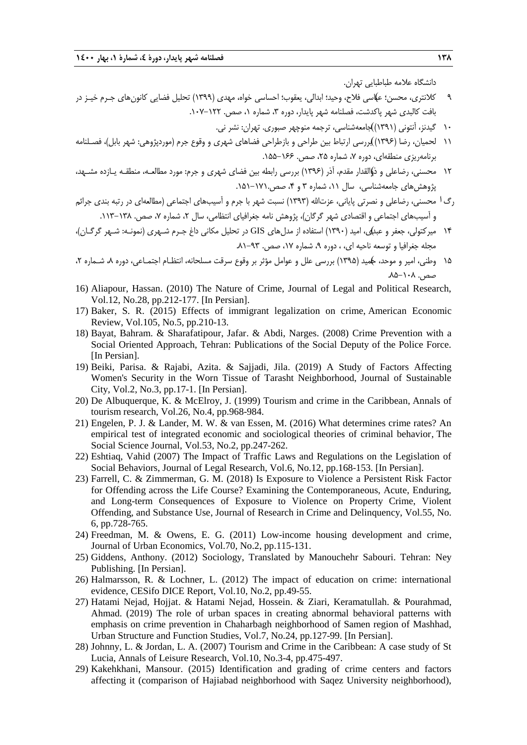دانشگاه عالمه طباطبایی تهران.

- 9 کالنتری، محسن؛ (عباسی فالح، وحید؛ ابدالی، یعقوب؛ احساسی خواه، مهدی )1399( تحلیل فضایی کانونهای جـرم خیـز در بافت کالبدی شهر پاکدشت، فصلنامه شهر پایدار، دوره ۳، شماره ۱، صص. ۱۲۲-۱۰۷.
	- 10 گیدنز، آنتونی )1391 (( جامعهشناسی، ترجمه منوچهر صبوری. تهران: نشر نی.
- ۱۱ لحمیان، رضا (۱۳۹۶))بررسی ارتباط بین طراحی و بازطراحی فضاهای شهری و وقوع جرم (موردپژوهی: شهر بابل)، فصـلنامه برنامهریزی منطقهای، دوره ۷، شماره ۲۵، صص. ۱۶۶-۱۵۵.
- ١٢ محسنی، رضاعلی و ذوالقدار مقدم، آذر (١٣٩۶) بررسی رابطه بین فضای شهری و جرم: مورد مطالعـه، منطقـه یـازده مشـهد، پژوهش های جامعهشناسی، سال ۱۱، شماره ۳ و ۴، صص.۱۷۱-۱۵۱.
- رگ <sup>1</sup> محسنی، رضاعلی و نصرتی پایانی، عزتالله (۱۳۹۳) نسبت شهر با جرم و آسیبهای اجتماعی (مطالعهای در رتبه بندی جرائ<u>م</u> و آسیبهای اجتماعی و اقتصادی شهر گرگان)، پژوهش نامه جغرافیای انتظامی، سال ۲، شماره ۷، صص. ۱۳۸–۱۱۳.
- ۱۴ میرکتولی، جعفر و عبد)ی، امید (۱۳۹۰) استفاده از مدلهای GIS در تحلیل مکانی داغ جـرم شـهری (نمونـه: شـهر گرگـان)، مجله جغرافیا و توسعه ناحیه ای، ، دوره ۹، شماره ۱۷، صص. ۹۳-۸۱.
- 15 وطنی، امیر و موحد، (حمید )1395( بررسی علل و عوامل مؤثر بر وقوع سرقت مسلحانه، انتظـام اجتمـاعی، دوره ،8 شـماره ،2 صص. ۱۰۸–۸۵.
- 16) Aliapour, Hassan. (2010) The Nature of Crime, Journal of Legal and Political Research, Vol.12, No.28, pp.212-177. [In Persian].
- 17) Baker, S. R. (2015) Effects of immigrant legalization on crime, American Economic Review, Vol.105, No.5, pp.210-13.
- 18) Bayat, Bahram. & Sharafatipour, Jafar. & Abdi, Narges. (2008) Crime Prevention with a Social Oriented Approach, Tehran: Publications of the Social Deputy of the Police Force. [In Persian].
- 19) Beiki, Parisa. & Rajabi, Azita. & Sajjadi, Jila. (2019) A Study of Factors Affecting Women's Security in the Worn Tissue of Tarasht Neighborhood, Journal of Sustainable City, Vol.2, No.3, pp.17-1. [In Persian].
- 20) De Albuquerque, K. & McElroy, J. (1999) Tourism and crime in the Caribbean, Annals of tourism research, Vol.26, No.4, pp.968-984.
- 21) Engelen, P. J. & Lander, M. W. & van Essen, M. (2016) What determines crime rates? An empirical test of integrated economic and sociological theories of criminal behavior, The Social Science Journal, Vol.53, No.2, pp.247-262.
- 22) Eshtiaq, Vahid (2007) The Impact of Traffic Laws and Regulations on the Legislation of Social Behaviors, Journal of Legal Research, Vol.6, No.12, pp.168-153. [In Persian].
- 23) Farrell, C. & Zimmerman, G. M. (2018) Is Exposure to Violence a Persistent Risk Factor for Offending across the Life Course? Examining the Contemporaneous, Acute, Enduring, and Long-term Consequences of Exposure to Violence on Property Crime, Violent Offending, and Substance Use, Journal of Research in Crime and Delinquency, Vol.55, No. 6, pp.728-765.
- 24) Freedman, M. & Owens, E. G. (2011) Low-income housing development and crime, Journal of Urban Economics, Vol.70, No.2, pp.115-131.
- 25) Giddens, Anthony. (2012) Sociology, Translated by Manouchehr Sabouri. Tehran: Ney Publishing. [In Persian].
- 26) Halmarsson, R. & Lochner, L. (2012) The impact of education on crime: international evidence, CESifo DICE Report, Vol.10, No.2, pp.49-55.
- 27) Hatami Nejad, Hojjat. & Hatami Nejad, Hossein. & Ziari, Keramatullah. & Pourahmad, Ahmad. (2019) The role of urban spaces in creating abnormal behavioral patterns with emphasis on crime prevention in Chaharbagh neighborhood of Samen region of Mashhad, Urban Structure and Function Studies, Vol.7, No.24, pp.127-99. [In Persian].
- 28) Johnny, L. & Jordan, L. A. (2007) Tourism and Crime in the Caribbean: A case study of St Lucia, Annals of Leisure Research, Vol.10, No.3-4, pp.475-497.
- 29) Kakehkhani, Mansour. (2015) Identification and grading of crime centers and factors affecting it (comparison of Hajiabad neighborhood with Saqez University neighborhood),